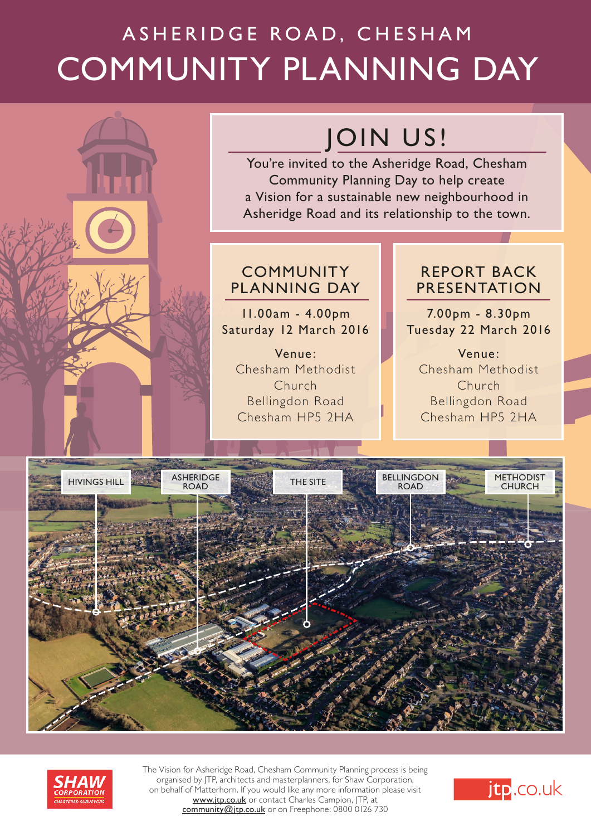# ASHERIDGE ROAD, CHESHAM COMMUNITY PLANNING DAY

## JOIN US!

You're invited to the Asheridge Road, Chesham Community Planning Day to help create a Vision for a sustainable new neighbourhood in Asheridge Road and its relationship to the town.

## COMMUNITY PLANNING DAY

### 11.00am - 4.00pm Saturday 12 March 2016

Venue: Chesham Methodist Church Bellingdon Road Chesham HP5 2HA

### REPORT BACK PRESENTATION

7.00pm - 8.30pm Tuesday 22 March 2016

Venue: Chesham Methodist Church Bellingdon Road Chesham HP5 2HA





The Vision for Asheridge Road, Chesham Community Planning process is being organised by JTP, architects and masterplanners, for Shaw Corporation, on behalf of Matterhorn. If you would like any more information please visit www.jtp.co.uk or contact Charles Campion, JTP, at community@jtp.co.uk or on Freephone: 0800 0126 730